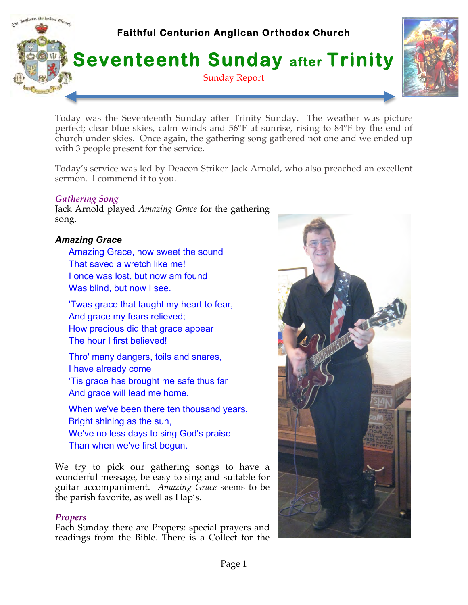

Today was the Seventeenth Sunday after Trinity Sunday. The weather was picture perfect; clear blue skies, calm winds and 56°F at sunrise, rising to 84°F by the end of church under skies. Once again, the gathering song gathered not one and we ended up with 3 people present for the service.

Today's service was led by Deacon Striker Jack Arnold, who also preached an excellent sermon. I commend it to you.

#### *Gathering Song*

Jack Arnold played *Amazing Grace* for the gathering song.

### *Amazing Grace*

Amazing Grace, how sweet the sound That saved a wretch like me! I once was lost, but now am found Was blind, but now I see.

'Twas grace that taught my heart to fear, And grace my fears relieved; How precious did that grace appear The hour I first believed!

Thro' many dangers, toils and snares, I have already come 'Tis grace has brought me safe thus far And grace will lead me home.

When we've been there ten thousand years, Bright shining as the sun, We've no less days to sing God's praise Than when we've first begun.

We try to pick our gathering songs to have a wonderful message, be easy to sing and suitable for guitar accompaniment. *Amazing Grace* seems to be the parish favorite, as well as Hap's.

#### *Propers*

Each Sunday there are Propers: special prayers and readings from the Bible. There is a Collect for the

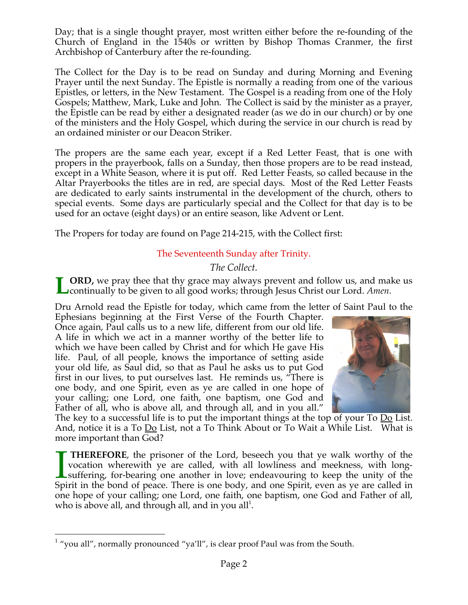Day; that is a single thought prayer, most written either before the re-founding of the Church of England in the 1540s or written by Bishop Thomas Cranmer, the first Archbishop of Canterbury after the re-founding.

The Collect for the Day is to be read on Sunday and during Morning and Evening Prayer until the next Sunday. The Epistle is normally a reading from one of the various Epistles, or letters, in the New Testament. The Gospel is a reading from one of the Holy Gospels; Matthew, Mark, Luke and John. The Collect is said by the minister as a prayer, the Epistle can be read by either a designated reader (as we do in our church) or by one of the ministers and the Holy Gospel, which during the service in our church is read by an ordained minister or our Deacon Striker.

The propers are the same each year, except if a Red Letter Feast, that is one with propers in the prayerbook, falls on a Sunday, then those propers are to be read instead, except in a White Season, where it is put off. Red Letter Feasts, so called because in the Altar Prayerbooks the titles are in red, are special days. Most of the Red Letter Feasts are dedicated to early saints instrumental in the development of the church, others to special events. Some days are particularly special and the Collect for that day is to be used for an octave (eight days) or an entire season, like Advent or Lent.

The Propers for today are found on Page 214-215, with the Collect first:

# The Seventeenth Sunday after Trinity.

## *The Collect.*

**ORD,** we pray thee that thy grace may always prevent and follow us, and make us **LORD**, we pray thee that thy grace may always prevent and follow us, and may continually to be given to all good works; through Jesus Christ our Lord. *Amen*.

Dru Arnold read the Epistle for today, which came from the letter of Saint Paul to the

Ephesians beginning at the First Verse of the Fourth Chapter. Once again, Paul calls us to a new life, different from our old life. A life in which we act in a manner worthy of the better life to which we have been called by Christ and for which He gave His life. Paul, of all people, knows the importance of setting aside your old life, as Saul did, so that as Paul he asks us to put God first in our lives, to put ourselves last. He reminds us, "There is one body, and one Spirit, even as ye are called in one hope of your calling; one Lord, one faith, one baptism, one God and Father of all, who is above all, and through all, and in you all."



The key to a successful life is to put the important things at the top of your To Do List. And, notice it is a To  $\underline{Do}$  List, not a To Think About or To Wait a While List. What is more important than God?

**THEREFORE**, the prisoner of the Lord, beseech you that ye walk worthy of the vocation wherewith ye are called, with all lowliness and meekness, with longsuffering, for-bearing one another in love; endeavouring to keep the unity of the Spirit in the bond of peace. There is one body, and one Spirit, even as ye are called in one hope of your calling; one Lord, one faith, one baptism, one God and Father of all, who is above all, and through all, and in you all<sup>1</sup>.  $\prod_{\text{Smi}}$ 

 $1$  "you all", normally pronounced "ya'll", is clear proof Paul was from the South.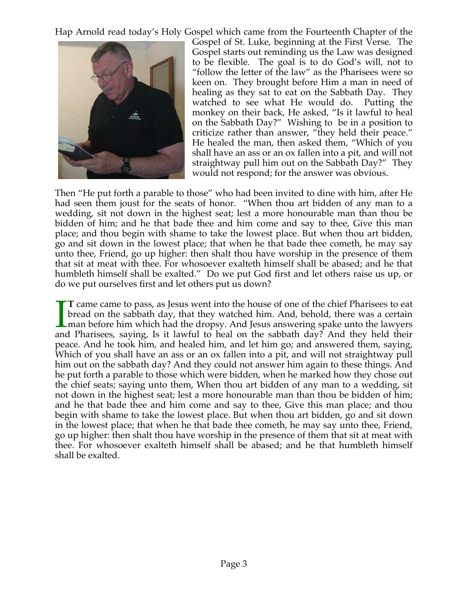Hap Arnold read today's Holy Gospel which came from the Fourteenth Chapter of the



Gospel of St. Luke, beginning at the First Verse. The Gospel starts out reminding us the Law was designed to be flexible. The goal is to do God's will, not to "follow the letter of the law" as the Pharisees were so keen on. They brought before Him a man in need of healing as they sat to eat on the Sabbath Day. They watched to see what He would do. Putting the monkey on their back, He asked, "Is it lawful to heal on the Sabbath Day?" Wishing to be in a position to criticize rather than answer, "they held their peace." He healed the man, then asked them, "Which of you shall have an ass or an ox fallen into a pit, and will not straightway pull him out on the Sabbath Day?" They would not respond; for the answer was obvious.

Then "He put forth a parable to those" who had been invited to dine with him, after He had seen them joust for the seats of honor. "When thou art bidden of any man to a wedding, sit not down in the highest seat; lest a more honourable man than thou be bidden of him; and he that bade thee and him come and say to thee, Give this man place; and thou begin with shame to take the lowest place. But when thou art bidden, go and sit down in the lowest place; that when he that bade thee cometh, he may say unto thee, Friend, go up higher: then shalt thou have worship in the presence of them that sit at meat with thee. For whosoever exalteth himself shall be abased; and he that humbleth himself shall be exalted." Do we put God first and let others raise us up, or do we put ourselves first and let others put us down?

**T** came came to pass, as Jesus went into the house of one of the chief Pharisees to eat bread on the sabbath day, that they watched him. And, behold, there was a certain man before him which had the dropsy. And Jesus answering spake unto the lawyers and Pharisees, saying, Is it lawful to heal on the sabbath day? And they held their peace. And he took him, and healed him, and let him go; and answered them, saying, Which of you shall have an ass or an ox fallen into a pit, and will not straightway pull him out on the sabbath day? And they could not answer him again to these things. And he put forth a parable to those which were bidden, when he marked how they chose out the chief seats; saying unto them, When thou art bidden of any man to a wedding, sit not down in the highest seat; lest a more honourable man than thou be bidden of him; and he that bade thee and him come and say to thee, Give this man place; and thou begin with shame to take the lowest place. But when thou art bidden, go and sit down in the lowest place; that when he that bade thee cometh, he may say unto thee, Friend, go up higher: then shalt thou have worship in the presence of them that sit at meat with thee. For whosoever exalteth himself shall be abased; and he that humbleth himself shall be exalted.  $\prod_{\text{anc}}$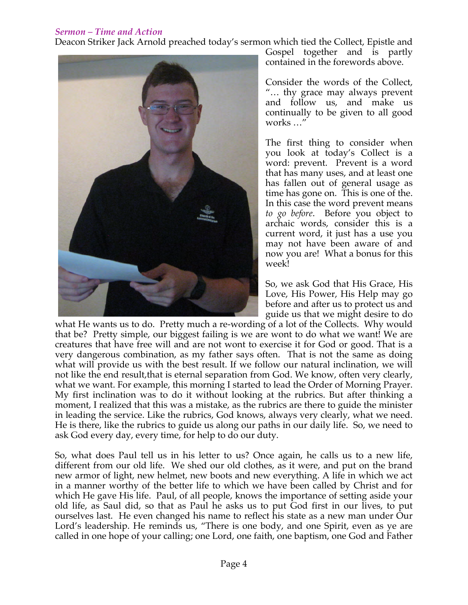## *Sermon – Time and Action*

Deacon Striker Jack Arnold preached today's sermon which tied the Collect, Epistle and



Gospel together and is partly contained in the forewords above.

Consider the words of the Collect, "… thy grace may always prevent and follow us, and make us continually to be given to all good works …"

The first thing to consider when you look at today's Collect is a word: prevent. Prevent is a word that has many uses, and at least one has fallen out of general usage as time has gone on. This is one of the. In this case the word prevent means *to go before*. Before you object to archaic words, consider this is a current word, it just has a use you may not have been aware of and now you are! What a bonus for this week!

So, we ask God that His Grace, His Love, His Power, His Help may go before and after us to protect us and guide us that we might desire to do

what He wants us to do. Pretty much a re-wording of a lot of the Collects. Why would that be? Pretty simple, our biggest failing is we are wont to do what we want! We are creatures that have free will and are not wont to exercise it for God or good. That is a very dangerous combination, as my father says often. That is not the same as doing what will provide us with the best result. If we follow our natural inclination, we will not like the end result, that is eternal separation from God. We know, often very clearly, what we want. For example, this morning I started to lead the Order of Morning Prayer. My first inclination was to do it without looking at the rubrics. But after thinking a moment, I realized that this was a mistake, as the rubrics are there to guide the minister in leading the service. Like the rubrics, God knows, always very clearly, what we need. He is there, like the rubrics to guide us along our paths in our daily life. So, we need to ask God every day, every time, for help to do our duty.

So, what does Paul tell us in his letter to us? Once again, he calls us to a new life, different from our old life. We shed our old clothes, as it were, and put on the brand new armor of light, new helmet, new boots and new everything. A life in which we act in a manner worthy of the better life to which we have been called by Christ and for which He gave His life. Paul, of all people, knows the importance of setting aside your old life, as Saul did, so that as Paul he asks us to put God first in our lives, to put ourselves last. He even changed his name to reflect his state as a new man under Our Lord's leadership. He reminds us, "There is one body, and one Spirit, even as ye are called in one hope of your calling; one Lord, one faith, one baptism, one God and Father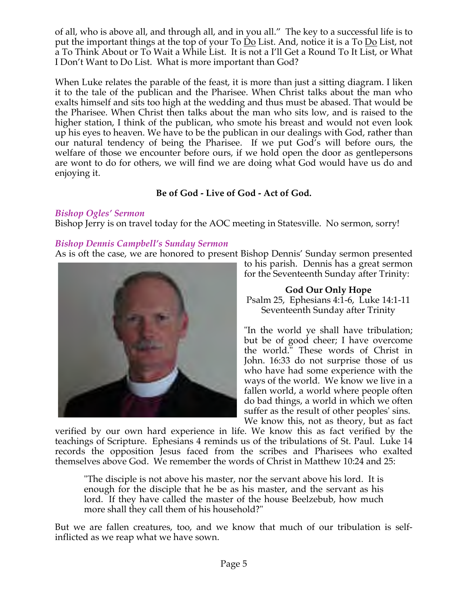of all, who is above all, and through all, and in you all." The key to a successful life is to put the important things at the top of your To Do List. And, notice it is a To Do List, not a To Think About or To Wait a While List. It is not a I'll Get a Round To It List, or What I Don't Want to Do List. What is more important than God?

When Luke relates the parable of the feast, it is more than just a sitting diagram. I liken it to the tale of the publican and the Pharisee. When Christ talks about the man who exalts himself and sits too high at the wedding and thus must be abased. That would be the Pharisee. When Christ then talks about the man who sits low, and is raised to the higher station, I think of the publican, who smote his breast and would not even look up his eyes to heaven. We have to be the publican in our dealings with God, rather than our natural tendency of being the Pharisee. If we put God's will before ours, the welfare of those we encounter before ours, if we hold open the door as gentlepersons are wont to do for others, we will find we are doing what God would have us do and enjoying it.

# **Be of God - Live of God - Act of God.**

## *Bishop Ogles' Sermon*

Bishop Jerry is on travel today for the AOC meeting in Statesville. No sermon, sorry!

# *Bishop Dennis Campbell's Sunday Sermon*

As is oft the case, we are honored to present Bishop Dennis' Sunday sermon presented



to his parish. Dennis has a great sermon for the Seventeenth Sunday after Trinity:

**God Our Only Hope** Psalm 25, Ephesians 4:1-6, Luke 14:1-11 Seventeenth Sunday after Trinity

"In the world ye shall have tribulation; but be of good cheer; I have overcome the world." These words of Christ in John. 16:33 do not surprise those of us who have had some experience with the ways of the world. We know we live in a fallen world, a world where people often do bad things, a world in which we often suffer as the result of other peoples' sins. We know this, not as theory, but as fact

verified by our own hard experience in life. We know this as fact verified by the teachings of Scripture. Ephesians 4 reminds us of the tribulations of St. Paul. Luke 14 records the opposition Jesus faced from the scribes and Pharisees who exalted themselves above God. We remember the words of Christ in Matthew 10:24 and 25:

"The disciple is not above his master, nor the servant above his lord. It is enough for the disciple that he be as his master, and the servant as his lord. If they have called the master of the house Beelzebub, how much more shall they call them of his household?"

But we are fallen creatures, too, and we know that much of our tribulation is selfinflicted as we reap what we have sown.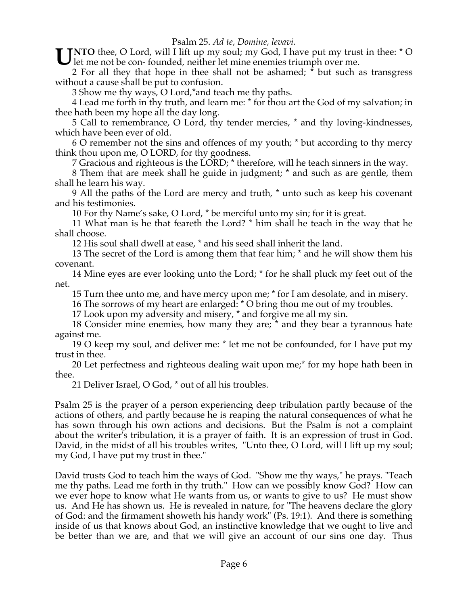Psalm 25. *Ad te, Domine, levavi.*

UNTO thee, O Lord, will I lift up my soul; my God, I have put my trust in thee: \* O let me not be con-founded, neither let mine enemies triumph over me. let me not be con- founded, neither let mine enemies triumph over me.

2 For all they that hope in thee shall not be ashamed; \* but such as transgress without a cause shall be put to confusion.

3 Show me thy ways, O Lord,\*and teach me thy paths.

4 Lead me forth in thy truth, and learn me: \* for thou art the God of my salvation; in thee hath been my hope all the day long.

5 Call to remembrance, O Lord, thy tender mercies, \* and thy loving-kindnesses, which have been ever of old.

6 O remember not the sins and offences of my youth; \* but according to thy mercy think thou upon me, O LORD, for thy goodness.

7 Gracious and righteous is the LORD; \* therefore, will he teach sinners in the way.

8 Them that are meek shall he guide in judgment; \* and such as are gentle, them shall he learn his way.

9 All the paths of the Lord are mercy and truth, \* unto such as keep his covenant and his testimonies.

10 For thy Name's sake, O Lord, \* be merciful unto my sin; for it is great.

11 What man is he that feareth the Lord? \* him shall he teach in the way that he shall choose.

12 His soul shall dwell at ease, \* and his seed shall inherit the land.

13 The secret of the Lord is among them that fear him; \* and he will show them his covenant.

14 Mine eyes are ever looking unto the Lord; \* for he shall pluck my feet out of the net.

15 Turn thee unto me, and have mercy upon me; \* for I am desolate, and in misery.

16 The sorrows of my heart are enlarged: \* O bring thou me out of my troubles.

17 Look upon my adversity and misery, \* and forgive me all my sin.

18 Consider mine enemies, how many they are; \* and they bear a tyrannous hate against me.

19 O keep my soul, and deliver me: \* let me not be confounded, for I have put my trust in thee.

20 Let perfectness and righteous dealing wait upon me;\* for my hope hath been in thee.

21 Deliver Israel, O God, \* out of all his troubles.

Psalm 25 is the prayer of a person experiencing deep tribulation partly because of the actions of others, and partly because he is reaping the natural consequences of what he has sown through his own actions and decisions. But the Psalm is not a complaint about the writer's tribulation, it is a prayer of faith. It is an expression of trust in God. David, in the midst of all his troubles writes, "Unto thee, O Lord, will I lift up my soul; my God, I have put my trust in thee."

David trusts God to teach him the ways of God. "Show me thy ways," he prays. "Teach me thy paths. Lead me forth in thy truth." How can we possibly know God? How can we ever hope to know what He wants from us, or wants to give to us? He must show us. And He has shown us. He is revealed in nature, for "The heavens declare the glory of God: and the firmament showeth his handy work" (Ps. 19:1). And there is something inside of us that knows about God, an instinctive knowledge that we ought to live and be better than we are, and that we will give an account of our sins one day. Thus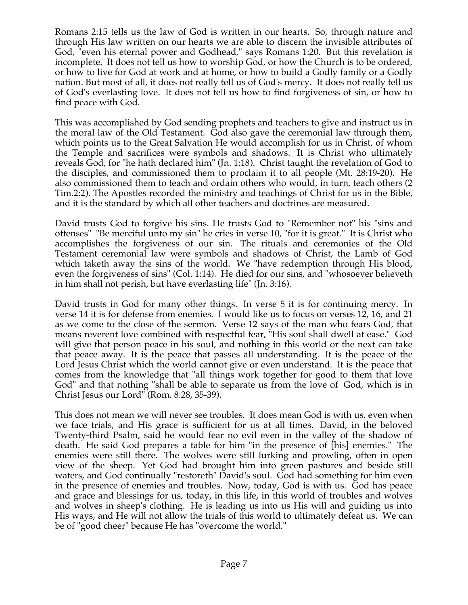Romans 2:15 tells us the law of God is written in our hearts. So, through nature and through His law written on our hearts we are able to discern the invisible attributes of God, "even his eternal power and Godhead," says Romans 1:20. But this revelation is incomplete. It does not tell us how to worship God, or how the Church is to be ordered, or how to live for God at work and at home, or how to build a Godly family or a Godly nation. But most of all, it does not really tell us of God's mercy. It does not really tell us of God's everlasting love. It does not tell us how to find forgiveness of sin, or how to find peace with God.

This was accomplished by God sending prophets and teachers to give and instruct us in the moral law of the Old Testament. God also gave the ceremonial law through them, which points us to the Great Salvation He would accomplish for us in Christ, of whom the Temple and sacrifices were symbols and shadows. It is Christ who ultimately reveals God, for "he hath declared him" (Jn. 1:18). Christ taught the revelation of God to the disciples, and commissioned them to proclaim it to all people (Mt. 28:19-20). He also commissioned them to teach and ordain others who would, in turn, teach others (2 Tim.2:2). The Apostles recorded the ministry and teachings of Christ for us in the Bible, and it is the standard by which all other teachers and doctrines are measured.

David trusts God to forgive his sins. He trusts God to "Remember not" his "sins and offenses" "Be merciful unto my sin" he cries in verse 10, "for it is great." It is Christ who accomplishes the forgiveness of our sin. The rituals and ceremonies of the Old Testament ceremonial law were symbols and shadows of Christ, the Lamb of God which taketh away the sins of the world. We "have redemption through His blood, even the forgiveness of sins" (Col. 1:14). He died for our sins, and "whosoever believeth in him shall not perish, but have everlasting life" (Jn. 3:16).

David trusts in God for many other things. In verse 5 it is for continuing mercy. In verse 14 it is for defense from enemies. I would like us to focus on verses 12, 16, and 21 as we come to the close of the sermon. Verse 12 says of the man who fears God, that means reverent love combined with respectful fear, "His soul shall dwell at ease." God will give that person peace in his soul, and nothing in this world or the next can take that peace away. It is the peace that passes all understanding. It is the peace of the Lord Jesus Christ which the world cannot give or even understand. It is the peace that comes from the knowledge that "all things work together for good to them that love God" and that nothing "shall be able to separate us from the love of God, which is in Christ Jesus our Lord" (Rom. 8:28, 35-39).

This does not mean we will never see troubles. It does mean God is with us, even when we face trials, and His grace is sufficient for us at all times. David, in the beloved Twenty-third Psalm, said he would fear no evil even in the valley of the shadow of death. He said God prepares a table for him "in the presence of [his] enemies." The enemies were still there. The wolves were still lurking and prowling, often in open view of the sheep. Yet God had brought him into green pastures and beside still waters, and God continually "restoreth" David's soul. God had something for him even in the presence of enemies and troubles. Now, today, God is with us. God has peace and grace and blessings for us, today, in this life, in this world of troubles and wolves and wolves in sheep's clothing. He is leading us into us His will and guiding us into His ways, and He will not allow the trials of this world to ultimately defeat us. We can be of "good cheer" because He has "overcome the world."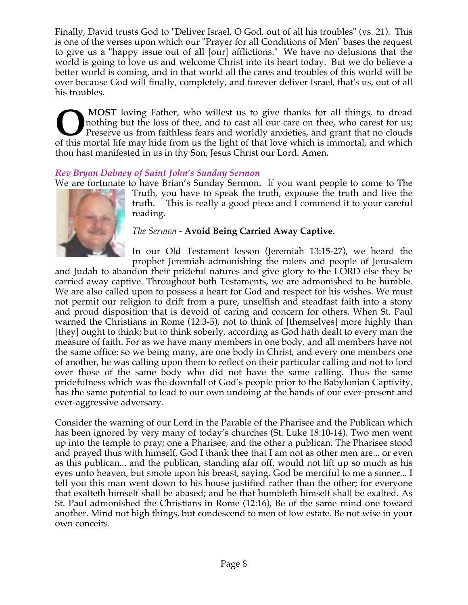Finally, David trusts God to "Deliver Israel, O God, out of all his troubles" (vs. 21). This is one of the verses upon which our "Prayer for all Conditions of Men" bases the request to give us a "happy issue out of all [our] afflictions." We have no delusions that the world is going to love us and welcome Christ into its heart today. But we do believe a better world is coming, and in that world all the cares and troubles of this world will be over because God will finally, completely, and forever deliver Israel, that's us, out of all his troubles.

 **MOST** loving Father, who willest us to give thanks for all things, to dread nothing but the loss of thee, and to cast all our care on thee, who carest for us; Preserve us from faithless fears and worldly anxieties, and grant that no clouds **OF MOST** loving Father, who willest us to give thanks for all things, to dread nothing but the loss of thee, and to cast all our care on thee, who carest for us; Preserve us from faithless fears and worldly anxieties, and thou hast manifested in us in thy Son, Jesus Christ our Lord. Amen.

## *Rev Bryan Dabney of Saint John's Sunday Sermon*

We are fortunate to have Brian's Sunday Sermon. If you want people to come to The



Truth, you have to speak the truth, expouse the truth and live the truth. This is really a good piece and I commend it to your careful reading.

## *The Sermon -* **Avoid Being Carried Away Captive.**

In our Old Testament lesson (Jeremiah 13:15-27), we heard the prophet Jeremiah admonishing the rulers and people of Jerusalem

and Judah to abandon their prideful natures and give glory to the LORD else they be carried away captive. Throughout both Testaments, we are admonished to be humble. We are also called upon to possess a heart for God and respect for his wishes. We must not permit our religion to drift from a pure, unselfish and steadfast faith into a stony and proud disposition that is devoid of caring and concern for others. When St. Paul warned the Christians in Rome (12:3-5), not to think of [themselves] more highly than [they] ought to think; but to think soberly, according as God hath dealt to every man the measure of faith. For as we have many members in one body, and all members have not the same office: so we being many, are one body in Christ, and every one members one of another, he was calling upon them to reflect on their particular calling and not to lord over those of the same body who did not have the same calling. Thus the same pridefulness which was the downfall of God's people prior to the Babylonian Captivity, has the same potential to lead to our own undoing at the hands of our ever-present and ever-aggressive adversary.

Consider the warning of our Lord in the Parable of the Pharisee and the Publican which has been ignored by very many of today's churches (St. Luke 18:10-14). Two men went up into the temple to pray; one a Pharisee, and the other a publican. The Pharisee stood and prayed thus with himself, God I thank thee that I am not as other men are... or even as this publican... and the publican, standing afar off, would not lift up so much as his eyes unto heaven, but smote upon his breast, saying, God be merciful to me a sinner... I tell you this man went down to his house justified rather than the other; for everyone that exalteth himself shall be abased; and he that humbleth himself shall be exalted. As St. Paul admonished the Christians in Rome (12:16), Be of the same mind one toward another. Mind not high things, but condescend to men of low estate. Be not wise in your own conceits.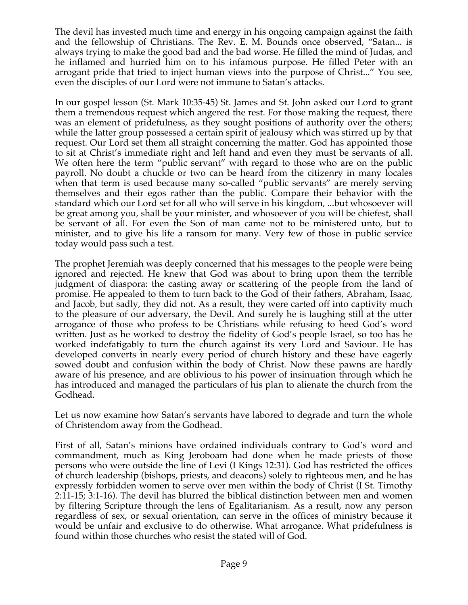The devil has invested much time and energy in his ongoing campaign against the faith and the fellowship of Christians. The Rev. E. M. Bounds once observed, "Satan... is always trying to make the good bad and the bad worse. He filled the mind of Judas, and he inflamed and hurried him on to his infamous purpose. He filled Peter with an arrogant pride that tried to inject human views into the purpose of Christ..." You see, even the disciples of our Lord were not immune to Satan's attacks.

In our gospel lesson (St. Mark 10:35-45) St. James and St. John asked our Lord to grant them a tremendous request which angered the rest. For those making the request, there was an element of pridefulness, as they sought positions of authority over the others; while the latter group possessed a certain spirit of jealousy which was stirred up by that request. Our Lord set them all straight concerning the matter. God has appointed those to sit at Christ's immediate right and left hand and even they must be servants of all. We often here the term "public servant" with regard to those who are on the public payroll. No doubt a chuckle or two can be heard from the citizenry in many locales when that term is used because many so-called "public servants" are merely serving themselves and their egos rather than the public. Compare their behavior with the standard which our Lord set for all who will serve in his kingdom, ...but whosoever will be great among you, shall be your minister, and whosoever of you will be chiefest, shall be servant of all. For even the Son of man came not to be ministered unto, but to minister, and to give his life a ransom for many. Very few of those in public service today would pass such a test.

The prophet Jeremiah was deeply concerned that his messages to the people were being ignored and rejected. He knew that God was about to bring upon them the terrible judgment of diaspora: the casting away or scattering of the people from the land of promise. He appealed to them to turn back to the God of their fathers, Abraham, Isaac, and Jacob, but sadly, they did not. As a result, they were carted off into captivity much to the pleasure of our adversary, the Devil. And surely he is laughing still at the utter arrogance of those who profess to be Christians while refusing to heed God's word written. Just as he worked to destroy the fidelity of God's people Israel, so too has he worked indefatigably to turn the church against its very Lord and Saviour. He has developed converts in nearly every period of church history and these have eagerly sowed doubt and confusion within the body of Christ. Now these pawns are hardly aware of his presence, and are oblivious to his power of insinuation through which he has introduced and managed the particulars of his plan to alienate the church from the Godhead.

Let us now examine how Satan's servants have labored to degrade and turn the whole of Christendom away from the Godhead.

First of all, Satan's minions have ordained individuals contrary to God's word and commandment, much as King Jeroboam had done when he made priests of those persons who were outside the line of Levi (I Kings 12:31). God has restricted the offices of church leadership (bishops, priests, and deacons) solely to righteous men, and he has expressly forbidden women to serve over men within the body of Christ (I St. Timothy 2:11-15; 3:1-16). The devil has blurred the biblical distinction between men and women by filtering Scripture through the lens of Egalitarianism. As a result, now any person regardless of sex, or sexual orientation, can serve in the offices of ministry because it would be unfair and exclusive to do otherwise. What arrogance. What pridefulness is found within those churches who resist the stated will of God.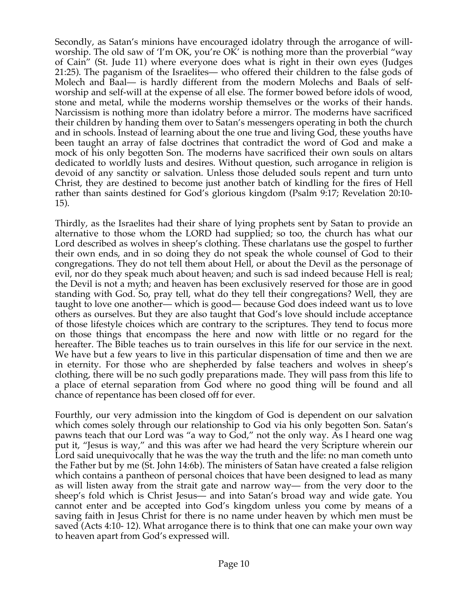Secondly, as Satan's minions have encouraged idolatry through the arrogance of willworship. The old saw of 'I'm OK, you're OK' is nothing more than the proverbial "way of Cain" (St. Jude 11) where everyone does what is right in their own eyes (Judges 21:25). The paganism of the Israelites— who offered their children to the false gods of Molech and Baal— is hardly different from the modern Molechs and Baals of selfworship and self-will at the expense of all else. The former bowed before idols of wood, stone and metal, while the moderns worship themselves or the works of their hands. Narcissism is nothing more than idolatry before a mirror. The moderns have sacrificed their children by handing them over to Satan's messengers operating in both the church and in schools. Instead of learning about the one true and living God, these youths have been taught an array of false doctrines that contradict the word of God and make a mock of his only begotten Son. The moderns have sacrificed their own souls on altars dedicated to worldly lusts and desires. Without question, such arrogance in religion is devoid of any sanctity or salvation. Unless those deluded souls repent and turn unto Christ, they are destined to become just another batch of kindling for the fires of Hell rather than saints destined for God's glorious kingdom (Psalm 9:17; Revelation 20:10- 15).

Thirdly, as the Israelites had their share of lying prophets sent by Satan to provide an alternative to those whom the LORD had supplied; so too, the church has what our Lord described as wolves in sheep's clothing. These charlatans use the gospel to further their own ends, and in so doing they do not speak the whole counsel of God to their congregations. They do not tell them about Hell, or about the Devil as the personage of evil, nor do they speak much about heaven; and such is sad indeed because Hell is real; the Devil is not a myth; and heaven has been exclusively reserved for those are in good standing with God. So, pray tell, what do they tell their congregations? Well, they are taught to love one another— which is good— because God does indeed want us to love others as ourselves. But they are also taught that God's love should include acceptance of those lifestyle choices which are contrary to the scriptures. They tend to focus more on those things that encompass the here and now with little or no regard for the hereafter. The Bible teaches us to train ourselves in this life for our service in the next. We have but a few years to live in this particular dispensation of time and then we are in eternity. For those who are shepherded by false teachers and wolves in sheep's clothing, there will be no such godly preparations made. They will pass from this life to a place of eternal separation from God where no good thing will be found and all chance of repentance has been closed off for ever.

Fourthly, our very admission into the kingdom of God is dependent on our salvation which comes solely through our relationship to God via his only begotten Son. Satan's pawns teach that our Lord was "a way to God," not the only way. As I heard one wag put it, "Jesus is way," and this was after we had heard the very Scripture wherein our Lord said unequivocally that he was the way the truth and the life: no man cometh unto the Father but by me (St. John 14:6b). The ministers of Satan have created a false religion which contains a pantheon of personal choices that have been designed to lead as many as will listen away from the strait gate and narrow way— from the very door to the sheep's fold which is Christ Jesus— and into Satan's broad way and wide gate. You cannot enter and be accepted into God's kingdom unless you come by means of a saving faith in Jesus Christ for there is no name under heaven by which men must be saved (Acts 4:10- 12). What arrogance there is to think that one can make your own way to heaven apart from God's expressed will.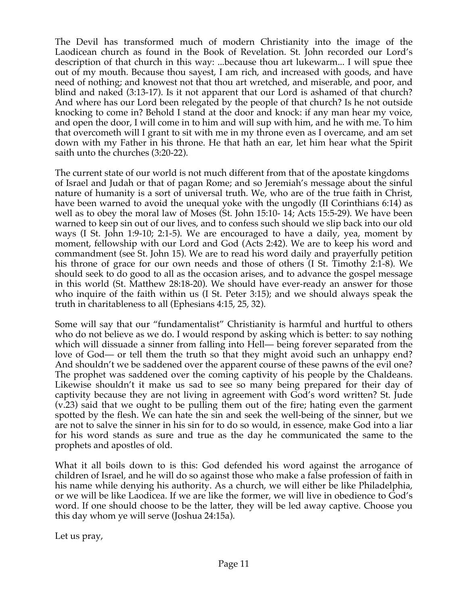The Devil has transformed much of modern Christianity into the image of the Laodicean church as found in the Book of Revelation. St. John recorded our Lord's description of that church in this way: ...because thou art lukewarm... I will spue thee out of my mouth. Because thou sayest, I am rich, and increased with goods, and have need of nothing; and knowest not that thou art wretched, and miserable, and poor, and blind and naked (3:13-17). Is it not apparent that our Lord is ashamed of that church? And where has our Lord been relegated by the people of that church? Is he not outside knocking to come in? Behold I stand at the door and knock: if any man hear my voice, and open the door, I will come in to him and will sup with him, and he with me. To him that overcometh will I grant to sit with me in my throne even as I overcame, and am set down with my Father in his throne. He that hath an ear, let him hear what the Spirit saith unto the churches (3:20-22).

The current state of our world is not much different from that of the apostate kingdoms of Israel and Judah or that of pagan Rome; and so Jeremiah's message about the sinful nature of humanity is a sort of universal truth. We, who are of the true faith in Christ, have been warned to avoid the unequal yoke with the ungodly (II Corinthians 6:14) as well as to obey the moral law of Moses (St. John 15:10- 14; Acts 15:5-29). We have been warned to keep sin out of our lives, and to confess such should we slip back into our old ways (I St. John 1:9-10; 2:1-5). We are encouraged to have a daily, yea, moment by moment, fellowship with our Lord and God (Acts 2:42). We are to keep his word and commandment (see St. John 15). We are to read his word daily and prayerfully petition his throne of grace for our own needs and those of others (I St. Timothy 2:1-8). We should seek to do good to all as the occasion arises, and to advance the gospel message in this world (St. Matthew 28:18-20). We should have ever-ready an answer for those who inquire of the faith within us (I St. Peter 3:15); and we should always speak the truth in charitableness to all (Ephesians 4:15, 25, 32).

Some will say that our "fundamentalist" Christianity is harmful and hurtful to others who do not believe as we do. I would respond by asking which is better: to say nothing which will dissuade a sinner from falling into Hell— being forever separated from the love of God— or tell them the truth so that they might avoid such an unhappy end? And shouldn't we be saddened over the apparent course of these pawns of the evil one? The prophet was saddened over the coming captivity of his people by the Chaldeans. Likewise shouldn't it make us sad to see so many being prepared for their day of captivity because they are not living in agreement with God's word written? St. Jude (v.23) said that we ought to be pulling them out of the fire; hating even the garment spotted by the flesh. We can hate the sin and seek the well-being of the sinner, but we are not to salve the sinner in his sin for to do so would, in essence, make God into a liar for his word stands as sure and true as the day he communicated the same to the prophets and apostles of old.

What it all boils down to is this: God defended his word against the arrogance of children of Israel, and he will do so against those who make a false profession of faith in his name while denying his authority. As a church, we will either be like Philadelphia, or we will be like Laodicea. If we are like the former, we will live in obedience to God's word. If one should choose to be the latter, they will be led away captive. Choose you this day whom ye will serve (Joshua 24:15a).

Let us pray,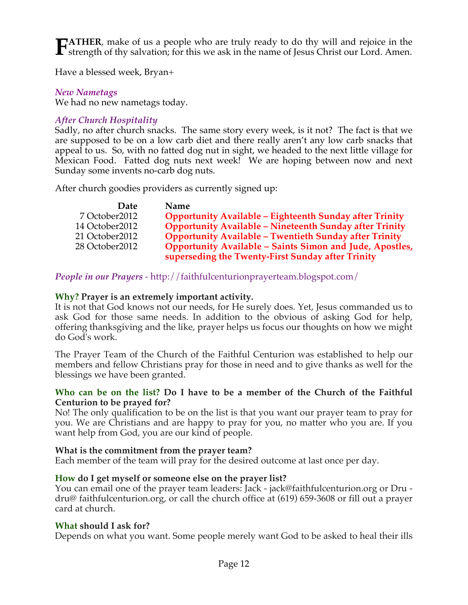**ATHER**, make of us a people who are truly ready to do thy will and rejoice in the **FATHER**, make of us a people who are truly ready to do thy will and rejoice in the strength of thy salvation; for this we ask in the name of Jesus Christ our Lord. Amen.

Have a blessed week, Bryan+

### *New Nametags*

We had no new nametags today.

# *After Church Hospitality*

Sadly, no after church snacks. The same story every week, is it not? The fact is that we are supposed to be on a low carb diet and there really aren't any low carb snacks that appeal to us. So, with no fatted dog nut in sight, we headed to the next little village for Mexican Food. Fatted dog nuts next week! We are hoping between now and next Sunday some invents no-carb dog nuts.

After church goodies providers as currently signed up:

| <b>Date</b>     | <b>Name</b>                                                    |
|-----------------|----------------------------------------------------------------|
| 7 October 2012  | <b>Opportunity Available - Eighteenth Sunday after Trinity</b> |
| 14 October2012  | <b>Opportunity Available - Nineteenth Sunday after Trinity</b> |
| 21 October2012  | <b>Opportunity Available - Twentieth Sunday after Trinity</b>  |
| 28 October 2012 | Opportunity Available - Saints Simon and Jude, Apostles,       |
|                 | superseding the Twenty-First Sunday after Trinity              |

*People in our Prayers* - http://faithfulcenturionprayerteam.blogspot.com/

## **Why? Prayer is an extremely important activity.**

It is not that God knows not our needs, for He surely does. Yet, Jesus commanded us to ask God for those same needs. In addition to the obvious of asking God for help, offering thanksgiving and the like, prayer helps us focus our thoughts on how we might do God's work.

The Prayer Team of the Church of the Faithful Centurion was established to help our members and fellow Christians pray for those in need and to give thanks as well for the blessings we have been granted.

### **Who can be on the list? Do I have to be a member of the Church of the Faithful Centurion to be prayed for?**

No! The only qualification to be on the list is that you want our prayer team to pray for you. We are Christians and are happy to pray for you, no matter who you are. If you want help from God, you are our kind of people.

## **What is the commitment from the prayer team?**

Each member of the team will pray for the desired outcome at last once per day.

## **How do I get myself or someone else on the prayer list?**

You can email one of the prayer team leaders: Jack - jack@faithfulcenturion.org or Dru dru@ faithfulcenturion.org, or call the church office at (619) 659-3608 or fill out a prayer card at church.

## **What should I ask for?**

Depends on what you want. Some people merely want God to be asked to heal their ills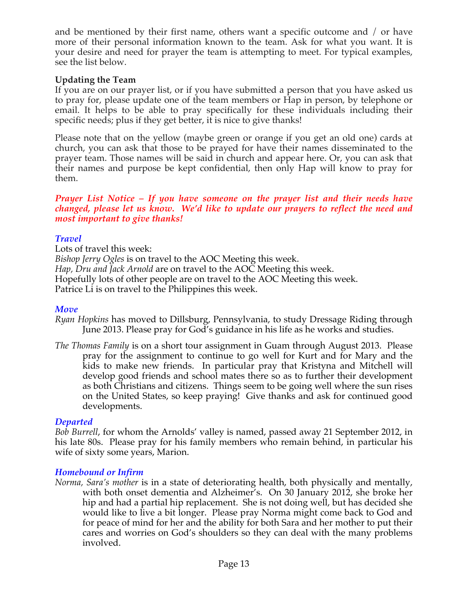and be mentioned by their first name, others want a specific outcome and / or have more of their personal information known to the team. Ask for what you want. It is your desire and need for prayer the team is attempting to meet. For typical examples, see the list below.

### **Updating the Team**

If you are on our prayer list, or if you have submitted a person that you have asked us to pray for, please update one of the team members or Hap in person, by telephone or email. It helps to be able to pray specifically for these individuals including their specific needs; plus if they get better, it is nice to give thanks!

Please note that on the yellow (maybe green or orange if you get an old one) cards at church, you can ask that those to be prayed for have their names disseminated to the prayer team. Those names will be said in church and appear here. Or, you can ask that their names and purpose be kept confidential, then only Hap will know to pray for them.

*Prayer List Notice – If you have someone on the prayer list and their needs have changed, please let us know. We'd like to update our prayers to reflect the need and most important to give thanks!*

## *Travel*

Lots of travel this week: *Bishop Jerry Ogles* is on travel to the AOC Meeting this week. *Hap, Dru and Jack Arnold* are on travel to the AOC Meeting this week. Hopefully lots of other people are on travel to the AOC Meeting this week. Patrice Li is on travel to the Philippines this week.

#### *Move*

*Ryan Hopkins* has moved to Dillsburg, Pennsylvania, to study Dressage Riding through June 2013. Please pray for God's guidance in his life as he works and studies.

*The Thomas Family* is on a short tour assignment in Guam through August 2013. Please pray for the assignment to continue to go well for Kurt and for Mary and the kids to make new friends. In particular pray that Kristyna and Mitchell will develop good friends and school mates there so as to further their development as both Christians and citizens. Things seem to be going well where the sun rises on the United States, so keep praying! Give thanks and ask for continued good developments.

## *Departed*

*Bob Burrell*, for whom the Arnolds' valley is named, passed away 21 September 2012, in his late 80s. Please pray for his family members who remain behind, in particular his wife of sixty some years, Marion.

#### *Homebound or Infirm*

*Norma, Sara's mother* is in a state of deteriorating health, both physically and mentally, with both onset dementia and Alzheimer's. On 30 January 2012, she broke her hip and had a partial hip replacement. She is not doing well, but has decided she would like to live a bit longer. Please pray Norma might come back to God and for peace of mind for her and the ability for both Sara and her mother to put their cares and worries on God's shoulders so they can deal with the many problems involved.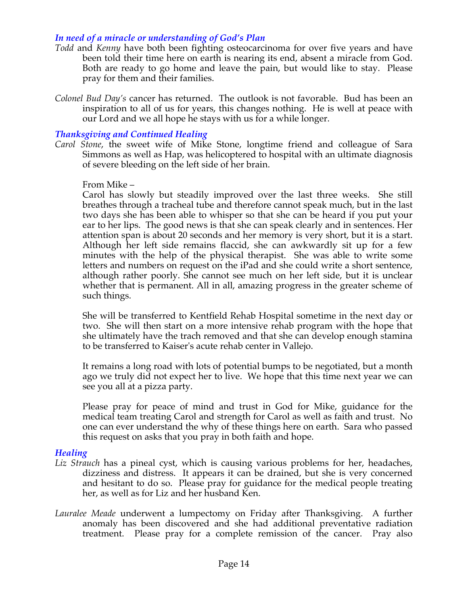### *In need of a miracle or understanding of God's Plan*

- *Todd* and *Kenny* have both been fighting osteocarcinoma for over five years and have been told their time here on earth is nearing its end, absent a miracle from God. Both are ready to go home and leave the pain, but would like to stay. Please pray for them and their families.
- *Colonel Bud Day's* cancer has returned. The outlook is not favorable. Bud has been an inspiration to all of us for years, this changes nothing. He is well at peace with our Lord and we all hope he stays with us for a while longer.

#### *Thanksgiving and Continued Healing*

*Carol Stone*, the sweet wife of Mike Stone, longtime friend and colleague of Sara Simmons as well as Hap, was helicoptered to hospital with an ultimate diagnosis of severe bleeding on the left side of her brain.

#### From Mike –

Carol has slowly but steadily improved over the last three weeks. She still breathes through a tracheal tube and therefore cannot speak much, but in the last two days she has been able to whisper so that she can be heard if you put your ear to her lips. The good news is that she can speak clearly and in sentences. Her attention span is about 20 seconds and her memory is very short, but it is a start. Although her left side remains flaccid, she can awkwardly sit up for a few minutes with the help of the physical therapist. She was able to write some letters and numbers on request on the iPad and she could write a short sentence, although rather poorly. She cannot see much on her left side, but it is unclear whether that is permanent. All in all, amazing progress in the greater scheme of such things.

She will be transferred to Kentfield Rehab Hospital sometime in the next day or two. She will then start on a more intensive rehab program with the hope that she ultimately have the trach removed and that she can develop enough stamina to be transferred to Kaiser's acute rehab center in Vallejo.

It remains a long road with lots of potential bumps to be negotiated, but a month ago we truly did not expect her to live. We hope that this time next year we can see you all at a pizza party.

Please pray for peace of mind and trust in God for Mike, guidance for the medical team treating Carol and strength for Carol as well as faith and trust. No one can ever understand the why of these things here on earth. Sara who passed this request on asks that you pray in both faith and hope.

#### *Healing*

- *Liz Strauch* has a pineal cyst, which is causing various problems for her, headaches, dizziness and distress. It appears it can be drained, but she is very concerned and hesitant to do so. Please pray for guidance for the medical people treating her, as well as for Liz and her husband Ken.
- *Lauralee Meade* underwent a lumpectomy on Friday after Thanksgiving. A further anomaly has been discovered and she had additional preventative radiation treatment. Please pray for a complete remission of the cancer. Pray also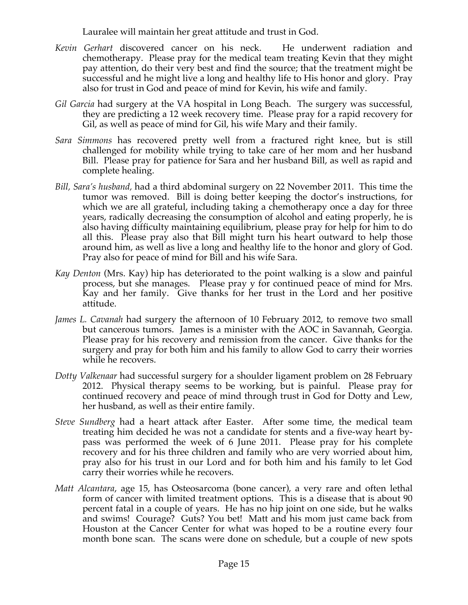Lauralee will maintain her great attitude and trust in God.

- *Kevin Gerhart* discovered cancer on his neck. He underwent radiation and chemotherapy. Please pray for the medical team treating Kevin that they might pay attention, do their very best and find the source; that the treatment might be successful and he might live a long and healthy life to His honor and glory. Pray also for trust in God and peace of mind for Kevin, his wife and family.
- *Gil Garcia* had surgery at the VA hospital in Long Beach. The surgery was successful, they are predicting a 12 week recovery time. Please pray for a rapid recovery for Gil, as well as peace of mind for Gil, his wife Mary and their family.
- *Sara Simmons* has recovered pretty well from a fractured right knee, but is still challenged for mobility while trying to take care of her mom and her husband Bill. Please pray for patience for Sara and her husband Bill, as well as rapid and complete healing.
- *Bill, Sara's husband,* had a third abdominal surgery on 22 November 2011. This time the tumor was removed. Bill is doing better keeping the doctor's instructions, for which we are all grateful, including taking a chemotherapy once a day for three years, radically decreasing the consumption of alcohol and eating properly, he is also having difficulty maintaining equilibrium, please pray for help for him to do all this. Please pray also that Bill might turn his heart outward to help those around him, as well as live a long and healthy life to the honor and glory of God. Pray also for peace of mind for Bill and his wife Sara.
- *Kay Denton* (Mrs. Kay) hip has deteriorated to the point walking is a slow and painful process, but she manages. Please pray y for continued peace of mind for Mrs. Kay and her family. Give thanks for her trust in the Lord and her positive attitude.
- *James L. Cavanah* had surgery the afternoon of 10 February 2012, to remove two small but cancerous tumors. James is a minister with the AOC in Savannah, Georgia. Please pray for his recovery and remission from the cancer. Give thanks for the surgery and pray for both him and his family to allow God to carry their worries while he recovers.
- *Dotty Valkenaar* had successful surgery for a shoulder ligament problem on 28 February 2012. Physical therapy seems to be working, but is painful. Please pray for continued recovery and peace of mind through trust in God for Dotty and Lew, her husband, as well as their entire family.
- *Steve Sundberg* had a heart attack after Easter. After some time, the medical team treating him decided he was not a candidate for stents and a five-way heart bypass was performed the week of 6 June 2011. Please pray for his complete recovery and for his three children and family who are very worried about him, pray also for his trust in our Lord and for both him and his family to let God carry their worries while he recovers.
- *Matt Alcantara*, age 15, has Osteosarcoma (bone cancer), a very rare and often lethal form of cancer with limited treatment options. This is a disease that is about 90 percent fatal in a couple of years. He has no hip joint on one side, but he walks and swims! Courage? Guts? You bet! Matt and his mom just came back from Houston at the Cancer Center for what was hoped to be a routine every four month bone scan. The scans were done on schedule, but a couple of new spots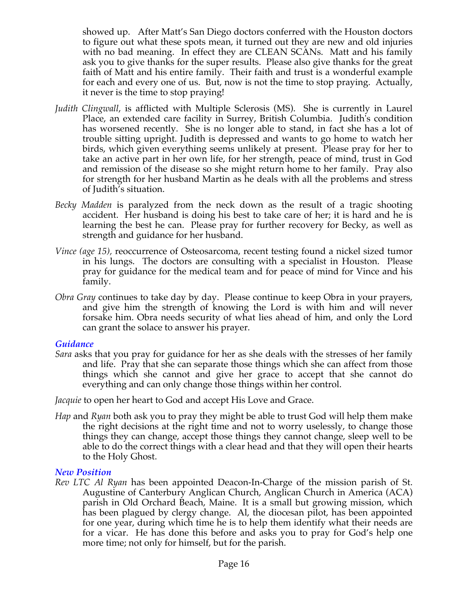showed up. After Matt's San Diego doctors conferred with the Houston doctors to figure out what these spots mean, it turned out they are new and old injuries with no bad meaning. In effect they are CLEAN SCANs. Matt and his family ask you to give thanks for the super results. Please also give thanks for the great faith of Matt and his entire family. Their faith and trust is a wonderful example for each and every one of us. But, now is not the time to stop praying. Actually, it never is the time to stop praying!

- *Judith Clingwall*, is afflicted with Multiple Sclerosis (MS). She is currently in Laurel Place, an extended care facility in Surrey, British Columbia. Judith's condition has worsened recently. She is no longer able to stand, in fact she has a lot of trouble sitting upright. Judith is depressed and wants to go home to watch her birds, which given everything seems unlikely at present. Please pray for her to take an active part in her own life, for her strength, peace of mind, trust in God and remission of the disease so she might return home to her family. Pray also for strength for her husband Martin as he deals with all the problems and stress of Judith's situation.
- *Becky Madden* is paralyzed from the neck down as the result of a tragic shooting accident. Her husband is doing his best to take care of her; it is hard and he is learning the best he can. Please pray for further recovery for Becky, as well as strength and guidance for her husband.
- *Vince (age 15),* reoccurrence of Osteosarcoma, recent testing found a nickel sized tumor in his lungs. The doctors are consulting with a specialist in Houston. Please pray for guidance for the medical team and for peace of mind for Vince and his family.
- *Obra Gray* continues to take day by day. Please continue to keep Obra in your prayers, and give him the strength of knowing the Lord is with him and will never forsake him. Obra needs security of what lies ahead of him, and only the Lord can grant the solace to answer his prayer.

#### *Guidance*

*Sara* asks that you pray for guidance for her as she deals with the stresses of her family and life. Pray that she can separate those things which she can affect from those things which she cannot and give her grace to accept that she cannot do everything and can only change those things within her control.

*Jacquie* to open her heart to God and accept His Love and Grace.

*Hap* and *Ryan* both ask you to pray they might be able to trust God will help them make the right decisions at the right time and not to worry uselessly, to change those things they can change, accept those things they cannot change, sleep well to be able to do the correct things with a clear head and that they will open their hearts to the Holy Ghost.

#### *New Position*

*Rev LTC Al Ryan* has been appointed Deacon-In-Charge of the mission parish of St. Augustine of Canterbury Anglican Church, Anglican Church in America (ACA) parish in Old Orchard Beach, Maine. It is a small but growing mission, which has been plagued by clergy change. Al, the diocesan pilot, has been appointed for one year, during which time he is to help them identify what their needs are for a vicar. He has done this before and asks you to pray for God's help one more time; not only for himself, but for the parish.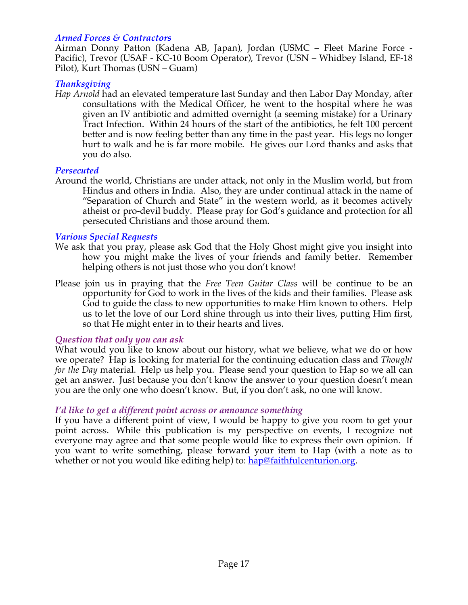#### *Armed Forces & Contractors*

Airman Donny Patton (Kadena AB, Japan), Jordan (USMC – Fleet Marine Force - Pacific), Trevor (USAF - KC-10 Boom Operator), Trevor (USN – Whidbey Island, EF-18 Pilot), Kurt Thomas (USN – Guam)

### *Thanksgiving*

*Hap Arnold* had an elevated temperature last Sunday and then Labor Day Monday, after consultations with the Medical Officer, he went to the hospital where he was given an IV antibiotic and admitted overnight (a seeming mistake) for a Urinary Tract Infection. Within 24 hours of the start of the antibiotics, he felt 100 percent better and is now feeling better than any time in the past year. His legs no longer hurt to walk and he is far more mobile. He gives our Lord thanks and asks that you do also.

#### *Persecuted*

Around the world, Christians are under attack, not only in the Muslim world, but from Hindus and others in India. Also, they are under continual attack in the name of "Separation of Church and State" in the western world, as it becomes actively atheist or pro-devil buddy. Please pray for God's guidance and protection for all persecuted Christians and those around them.

#### *Various Special Requests*

- We ask that you pray, please ask God that the Holy Ghost might give you insight into how you might make the lives of your friends and family better. Remember helping others is not just those who you don't know!
- Please join us in praying that the *Free Teen Guitar Class* will be continue to be an opportunity for God to work in the lives of the kids and their families. Please ask God to guide the class to new opportunities to make Him known to others. Help us to let the love of our Lord shine through us into their lives, putting Him first, so that He might enter in to their hearts and lives.

#### *Question that only you can ask*

What would you like to know about our history, what we believe, what we do or how we operate? Hap is looking for material for the continuing education class and *Thought for the Day* material. Help us help you. Please send your question to Hap so we all can get an answer. Just because you don't know the answer to your question doesn't mean you are the only one who doesn't know. But, if you don't ask, no one will know.

#### *I'd like to get a different point across or announce something*

If you have a different point of view, I would be happy to give you room to get your point across. While this publication is my perspective on events, I recognize not everyone may agree and that some people would like to express their own opinion. If you want to write something, please forward your item to Hap (with a note as to whether or not you would like editing help) to: hap@faithfulcenturion.org.